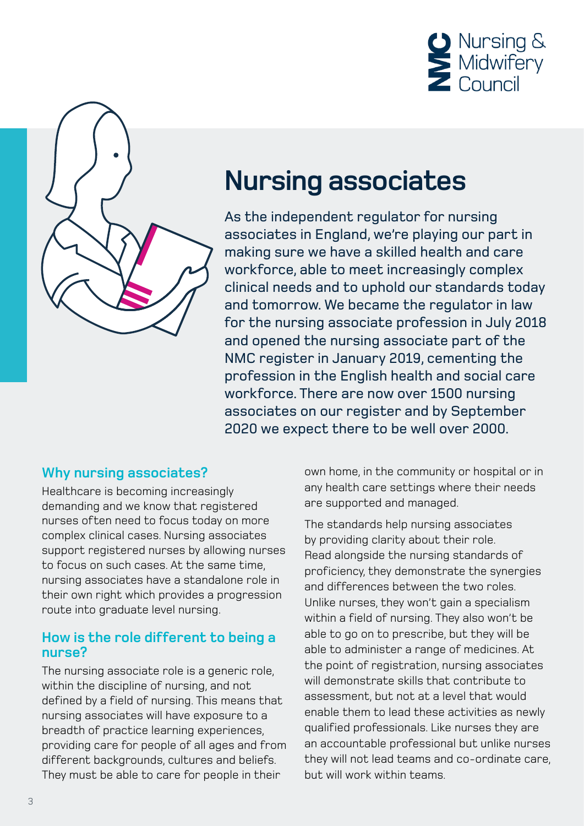



# **Nursing associates**

As the independent regulator for nursing associates in England, we're playing our part in making sure we have a skilled health and care workforce, able to meet increasingly complex clinical needs and to uphold our standards today and tomorrow. We became the regulator in law for the nursing associate profession in July 2018 and opened the nursing associate part of the NMC register in January 2019, cementing the profession in the English health and social care workforce. There are now over 1500 nursing associates on our register and by September 2020 we expect there to be well over 2000.

### **Why nursing associates?**

Healthcare is becoming increasingly demanding and we know that registered nurses often need to focus today on more complex clinical cases. Nursing associates support registered nurses by allowing nurses to focus on such cases. At the same time, nursing associates have a standalone role in their own right which provides a progression route into graduate level nursing.

#### **How is the role different to being a nurse?**

The nursing associate role is a generic role, within the discipline of nursing, and not defined by a field of nursing. This means that nursing associates will have exposure to a breadth of practice learning experiences, providing care for people of all ages and from different backgrounds, cultures and beliefs. They must be able to care for people in their

own home, in the community or hospital or in any health care settings where their needs are supported and managed.

The standards help nursing associates by providing clarity about their role. Read alongside the nursing standards of proficiency, they demonstrate the synergies and differences between the two roles. Unlike nurses, they won't gain a specialism within a field of nursing. They also won't be able to go on to prescribe, but they will be able to administer a range of medicines. At the point of registration, nursing associates will demonstrate skills that contribute to assessment, but not at a level that would enable them to lead these activities as newly qualified professionals. Like nurses they are an accountable professional but unlike nurses they will not lead teams and co-ordinate care, but will work within teams.